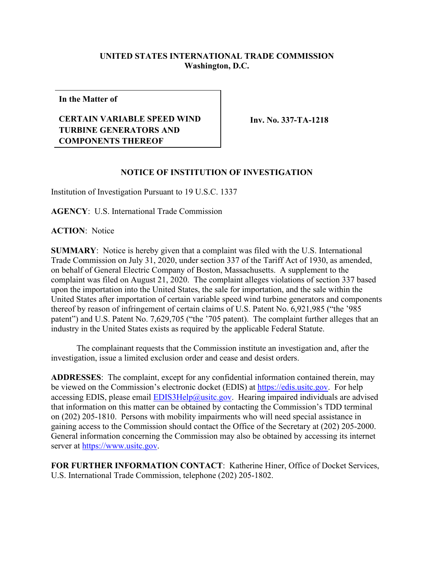## **UNITED STATES INTERNATIONAL TRADE COMMISSION Washington, D.C.**

**In the Matter of**

## **CERTAIN VARIABLE SPEED WIND TURBINE GENERATORS AND COMPONENTS THEREOF**

**Inv. No. 337-TA-1218**

## **NOTICE OF INSTITUTION OF INVESTIGATION**

Institution of Investigation Pursuant to 19 U.S.C. 1337

**AGENCY**: U.S. International Trade Commission

**ACTION**: Notice

**SUMMARY**: Notice is hereby given that a complaint was filed with the U.S. International Trade Commission on July 31, 2020, under section 337 of the Tariff Act of 1930, as amended, on behalf of General Electric Company of Boston, Massachusetts. A supplement to the complaint was filed on August 21, 2020. The complaint alleges violations of section 337 based upon the importation into the United States, the sale for importation, and the sale within the United States after importation of certain variable speed wind turbine generators and components thereof by reason of infringement of certain claims of U.S. Patent No. 6,921,985 ("the '985 patent") and U.S. Patent No. 7,629,705 ("the '705 patent). The complaint further alleges that an industry in the United States exists as required by the applicable Federal Statute.

The complainant requests that the Commission institute an investigation and, after the investigation, issue a limited exclusion order and cease and desist orders.

**ADDRESSES**: The complaint, except for any confidential information contained therein, may be viewed on the Commission's electronic docket (EDIS) at [https://edis.usitc.gov.](https://edis.usitc.gov/) For help accessing EDIS, please email **EDIS3Help@usitc.gov**. Hearing impaired individuals are advised that information on this matter can be obtained by contacting the Commission's TDD terminal on (202) 205-1810. Persons with mobility impairments who will need special assistance in gaining access to the Commission should contact the Office of the Secretary at (202) 205-2000. General information concerning the Commission may also be obtained by accessing its internet server at [https://www.usitc.gov.](https://www.usitc.gov/)

**FOR FURTHER INFORMATION CONTACT**: Katherine Hiner, Office of Docket Services, U.S. International Trade Commission, telephone (202) 205-1802.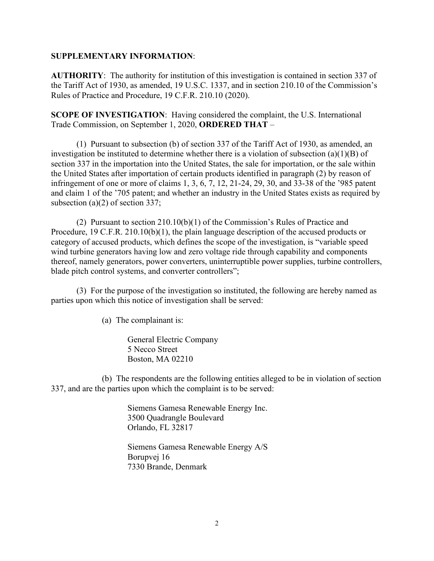## **SUPPLEMENTARY INFORMATION**:

**AUTHORITY**: The authority for institution of this investigation is contained in section 337 of the Tariff Act of 1930, as amended, 19 U.S.C. 1337, and in section 210.10 of the Commission's Rules of Practice and Procedure, 19 C.F.R. 210.10 (2020).

**SCOPE OF INVESTIGATION**: Having considered the complaint, the U.S. International Trade Commission, on September 1, 2020, **ORDERED THAT** –

(1) Pursuant to subsection (b) of section 337 of the Tariff Act of 1930, as amended, an investigation be instituted to determine whether there is a violation of subsection (a)(1)(B) of section 337 in the importation into the United States, the sale for importation, or the sale within the United States after importation of certain products identified in paragraph (2) by reason of infringement of one or more of claims 1, 3, 6, 7, 12, 21-24, 29, 30, and 33-38 of the '985 patent and claim 1 of the '705 patent; and whether an industry in the United States exists as required by subsection (a)(2) of section 337;

(2) Pursuant to section 210.10(b)(1) of the Commission's Rules of Practice and Procedure, 19 C.F.R. 210.10(b)(1), the plain language description of the accused products or category of accused products, which defines the scope of the investigation, is "variable speed wind turbine generators having low and zero voltage ride through capability and components thereof, namely generators, power converters, uninterruptible power supplies, turbine controllers, blade pitch control systems, and converter controllers";

(3) For the purpose of the investigation so instituted, the following are hereby named as parties upon which this notice of investigation shall be served:

(a) The complainant is:

General Electric Company 5 Necco Street Boston, MA 02210

(b) The respondents are the following entities alleged to be in violation of section 337, and are the parties upon which the complaint is to be served:

> Siemens Gamesa Renewable Energy Inc. 3500 Quadrangle Boulevard Orlando, FL 32817

> Siemens Gamesa Renewable Energy A/S Borupvej 16 7330 Brande, Denmark